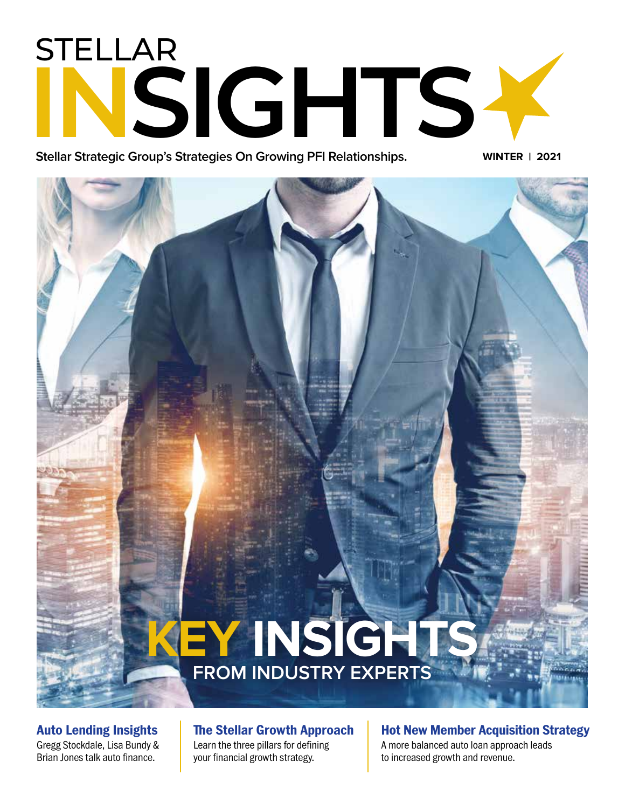# STELLAR **INSIGHTS -**

**Stellar Strategic Group's Strategies On Growing PFI Relationships.** 

**WINTER | 2021**

# **EY INSIGHT FROM INDUSTRY EXPERTS**

#### **Auto Lending Insights**

Gregg Stockdale, Lisa Bundy & Brian Jones talk auto finance.

#### **The Stellar Growth Approach**

Learn the three pillars for defining your financial growth strategy.

#### **Hot New Member Acquisition Strategy**

A more balanced auto loan approach leads to increased growth and revenue.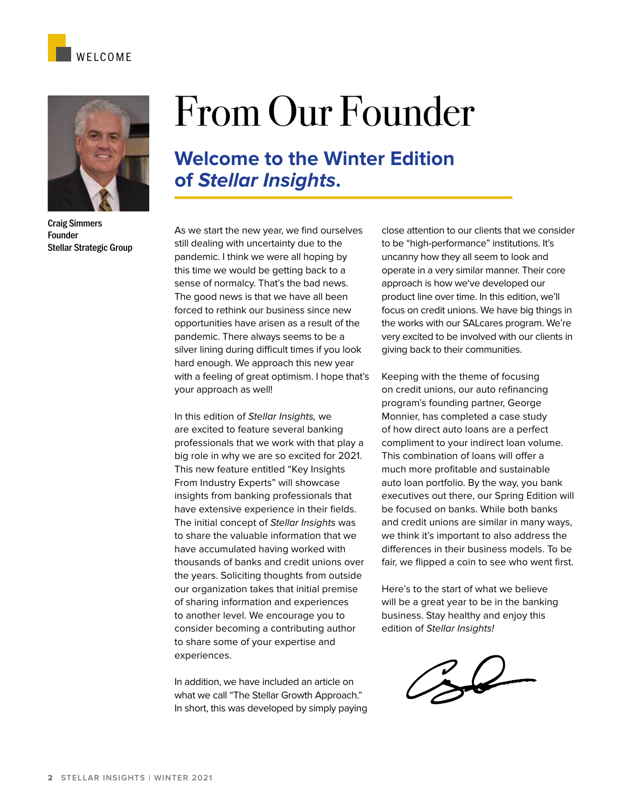



## From Our Founder

**Welcome to the Winter Edition of Stellar Insights.** 

Craig Simmers Founder Stellar Strategic Group

As we start the new year, we find ourselves still dealing with uncertainty due to the pandemic. I think we were all hoping by this time we would be getting back to a sense of normalcy. That's the bad news. The good news is that we have all been forced to rethink our business since new opportunities have arisen as a result of the pandemic. There always seems to be a silver lining during difficult times if you look hard enough. We approach this new year with a feeling of great optimism. I hope that's your approach as well!

In this edition of Stellar Insights, we are excited to feature several banking professionals that we work with that play a big role in why we are so excited for 2021. This new feature entitled "Key Insights From Industry Experts" will showcase insights from banking professionals that have extensive experience in their fields. The initial concept of Stellar Insights was to share the valuable information that we have accumulated having worked with thousands of banks and credit unions over the years. Soliciting thoughts from outside our organization takes that initial premise of sharing information and experiences to another level. We encourage you to consider becoming a contributing author to share some of your expertise and experiences.

In addition, we have included an article on what we call "The Stellar Growth Approach." In short, this was developed by simply paying close attention to our clients that we consider to be "high-performance" institutions. It's uncanny how they all seem to look and operate in a very similar manner. Their core approach is how we've developed our product line over time. In this edition, we'll focus on credit unions. We have big things in the works with our SALcares program. We're very excited to be involved with our clients in giving back to their communities.

Keeping with the theme of focusing on credit unions, our auto refinancing program's founding partner, George Monnier, has completed a case study of how direct auto loans are a perfect compliment to your indirect loan volume. This combination of loans will offer a much more profitable and sustainable auto loan portfolio. By the way, you bank executives out there, our Spring Edition will be focused on banks. While both banks and credit unions are similar in many ways, we think it's important to also address the differences in their business models. To be fair, we flipped a coin to see who went first.

Here's to the start of what we believe will be a great year to be in the banking business. Stay healthy and enjoy this edition of Stellar Insights!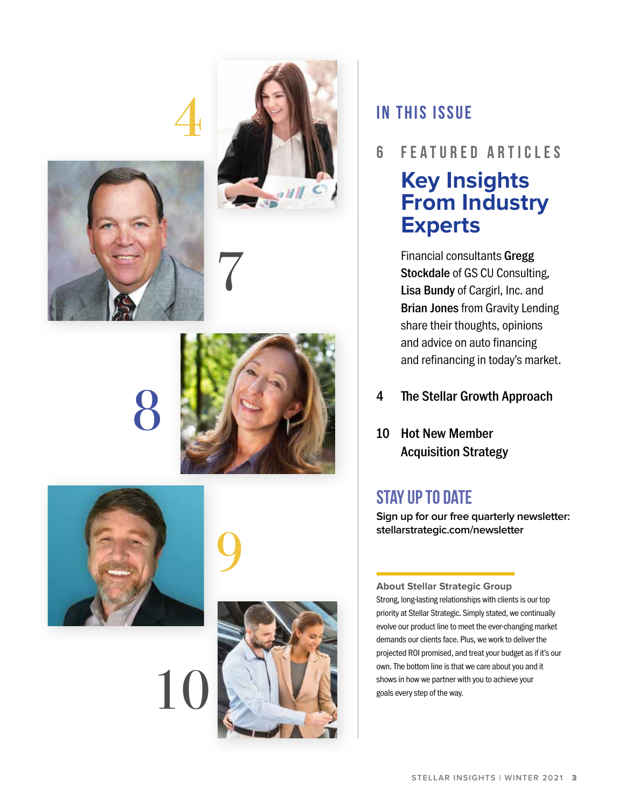# 4







7

9

8



10

#### **IN THIS ISSUE**

**6 featureD articleS**

### **Key Insights From Industry Experts**

Financial consultants Gregg Stockdale of GS CU Consulting, Lisa Bundy of Cargirl, Inc. and Brian Jones from Gravity Lending share their thoughts, opinions and advice on auto financing and refinancing in today's market.

- 4 The Stellar Growth Approach
- 10 Hot New Member Acquisition Strategy

#### **Stay up to date**

**Sign up for our free quarterly newsletter: stellarstrategic.com/newsletter**

**About Stellar Strategic Group**

Strong, long-lasting relationships with clients is our top priority at Stellar Strategic. Simply stated, we continually evolve our product line to meet the ever-changing market demands our clients face. Plus, we work to deliver the projected ROI promised, and treat your budget as if it's our own. The bottom line is that we care about you and it shows in how we partner with you to achieve your goals every step of the way.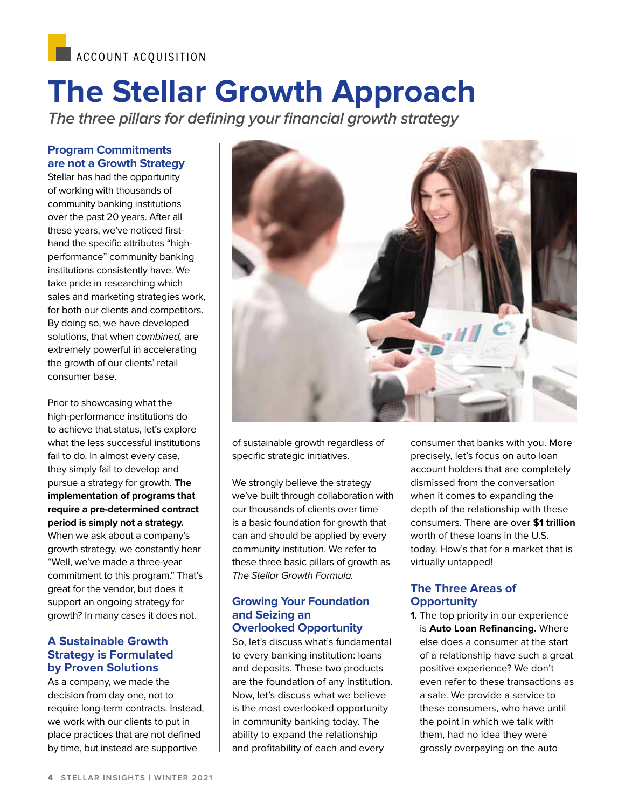**ACCOUNT ACQUISITION** 

## **The Stellar Growth Approach**

**The three pillars for defining your financial growth strategy**

#### **Program Commitments are not a Growth Strategy**

Stellar has had the opportunity of working with thousands of community banking institutions over the past 20 years. After all these years, we've noticed firsthand the specific attributes "highperformance" community banking institutions consistently have. We take pride in researching which sales and marketing strategies work, for both our clients and competitors. By doing so, we have developed solutions, that when combined, are extremely powerful in accelerating the growth of our clients' retail consumer base.

Prior to showcasing what the high-performance institutions do to achieve that status, let's explore what the less successful institutions fail to do. In almost every case, they simply fail to develop and pursue a strategy for growth. **The implementation of programs that require a pre-determined contract period is simply not a strategy.**  When we ask about a company's growth strategy, we constantly hear "Well, we've made a three-year commitment to this program." That's great for the vendor, but does it support an ongoing strategy for growth? In many cases it does not.

#### **A Sustainable Growth Strategy is Formulated by Proven Solutions**

As a company, we made the decision from day one, not to require long-term contracts. Instead, we work with our clients to put in place practices that are not defined by time, but instead are supportive



of sustainable growth regardless of specific strategic initiatives.

We strongly believe the strategy we've built through collaboration with our thousands of clients over time is a basic foundation for growth that can and should be applied by every community institution. We refer to these three basic pillars of growth as The Stellar Growth Formula.

#### **Growing Your Foundation and Seizing an Overlooked Opportunity**

So, let's discuss what's fundamental to every banking institution: loans and deposits. These two products are the foundation of any institution. Now, let's discuss what we believe is the most overlooked opportunity in community banking today. The ability to expand the relationship and profitability of each and every

consumer that banks with you. More precisely, let's focus on auto loan account holders that are completely dismissed from the conversation when it comes to expanding the depth of the relationship with these consumers. There are over **\$1 trillion**  worth of these loans in the U.S. today. How's that for a market that is virtually untapped!

#### **The Three Areas of Opportunity**

**1.** The top priority in our experience is **Auto Loan Refinancing.** Where else does a consumer at the start of a relationship have such a great positive experience? We don't even refer to these transactions as a sale. We provide a service to these consumers, who have until the point in which we talk with them, had no idea they were grossly overpaying on the auto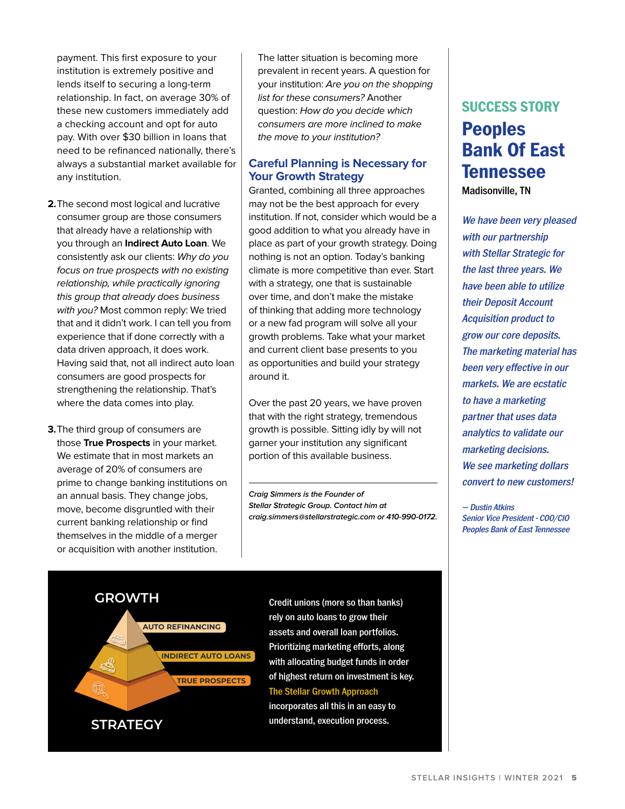payment. This first exposure to your institution is extremely positive and lends itself to securing a long-term relationship. In fact, on average 30% of these new customers immediately add a checking account and opt for auto pay. With over \$30 billion in loans that need to be refinanced nationally, there's always a substantial market available for any institution.

- **2.**The second most logical and lucrative consumer group are those consumers that already have a relationship with you through an **Indirect Auto Loan**. We consistently ask our clients: Why do you focus on true prospects with no existing relationship, while practically ignoring this group that already does business with you? Most common reply: We tried that and it didn't work. I can tell you from experience that if done correctly with a data driven approach, it does work. Having said that, not all indirect auto loan consumers are good prospects for strengthening the relationship. That's where the data comes into play.
- **3.**The third group of consumers are those **True Prospects** in your market. We estimate that in most markets an average of 20% of consumers are prime to change banking institutions on an annual basis. They change jobs, move, become disgruntled with their current banking relationship or find themselves in the middle of a merger or acquisition with another institution.

The latter situation is becoming more prevalent in recent years. A question for your institution: Are you on the shopping list for these consumers? Another question: How do you decide which consumers are more inclined to make the move to your institution?

#### **Careful Planning is Necessary for Your Growth Strategy**

Granted, combining all three approaches may not be the best approach for every institution. If not, consider which would be a good addition to what you already have in place as part of your growth strategy. Doing nothing is not an option. Today's banking climate is more competitive than ever. Start with a strategy, one that is sustainable over time, and don't make the mistake of thinking that adding more technology or a new fad program will solve all your growth problems. Take what your market and current client base presents to you as opportunities and build your strategy around it.

Over the past 20 years, we have proven that with the right strategy, tremendous growth is possible. Sitting idly by will not garner your institution any significant portion of this available business.

**Craig Simmers is the Founder of Stellar Strategic Group. Contact him at craig.simmers@stellarstrategic.com or 410-990-0172.**

#### **SUCCESS STORY Peoples Bank Of East Tennessee**

Madisonville, TN

We have been very pleased with our partnership with Stellar Strategic for the last three years. We have been able to utilize their Deposit Account Acquisition product to grow our core deposits. The marketing material has been very effective in our markets. We are ecstatic to have a marketing partner that uses data analytics to validate our marketing decisions. We see marketing dollars convert to new customers!

— Dustin Atkins Senior Vice President - COO/CIO Peoples Bank of East Tennessee



Credit unions (more so than banks) rely on auto loans to grow their assets and overall loan portfolios. Prioritizing marketing efforts, along with allocating budget funds in order of highest return on investment is key. The Stellar Growth Approach

incorporates all this in an easy to understand, execution process.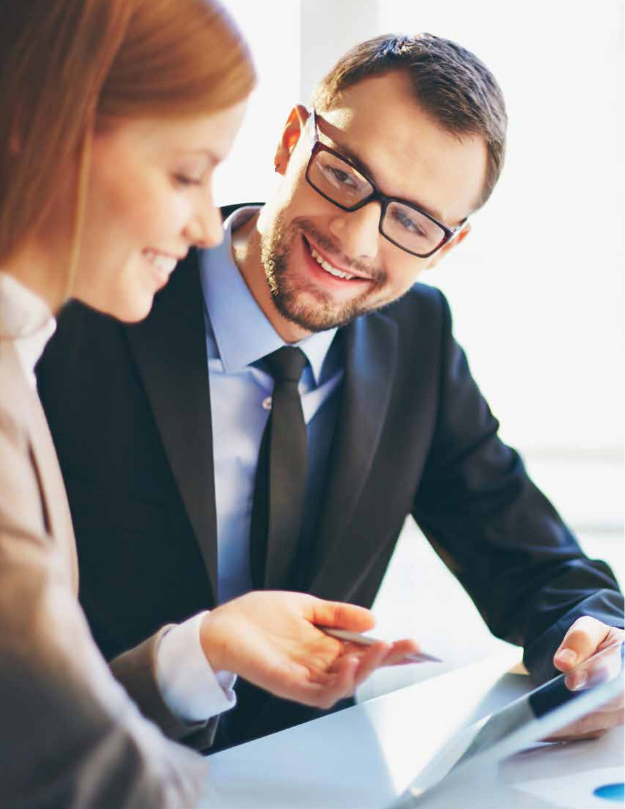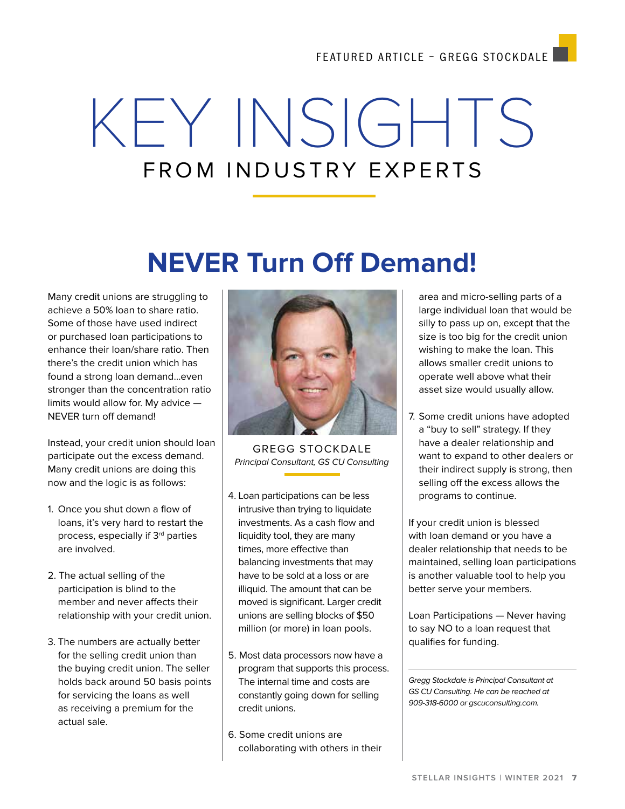# KEY INSIGHTS FROM INDUSTRY EXPERTS

## **NEVER Turn Off Demand!**

Many credit unions are struggling to achieve a 50% loan to share ratio. Some of those have used indirect or purchased loan participations to enhance their loan/share ratio. Then there's the credit union which has found a strong loan demand…even stronger than the concentration ratio limits would allow for. My advice — NEVER turn off demand!

Instead, your credit union should loan participate out the excess demand. Many credit unions are doing this now and the logic is as follows:

- 1. Once you shut down a flow of loans, it's very hard to restart the process, especially if 3rd parties are involved.
- 2. The actual selling of the participation is blind to the member and never affects their relationship with your credit union.
- 3. The numbers are actually better for the selling credit union than the buying credit union. The seller holds back around 50 basis points for servicing the loans as well as receiving a premium for the actual sale.



GREGG STOCKDALE Principal Consultant, GS CU Consulting

- 4. Loan participations can be less intrusive than trying to liquidate investments. As a cash flow and liquidity tool, they are many times, more effective than balancing investments that may have to be sold at a loss or are illiquid. The amount that can be moved is significant. Larger credit unions are selling blocks of \$50 million (or more) in loan pools.
- 5. Most data processors now have a program that supports this process. The internal time and costs are constantly going down for selling credit unions.
- 6. Some credit unions are collaborating with others in their

area and micro-selling parts of a large individual loan that would be silly to pass up on, except that the size is too big for the credit union wishing to make the loan. This allows smaller credit unions to operate well above what their asset size would usually allow.

7. Some credit unions have adopted a "buy to sell" strategy. If they have a dealer relationship and want to expand to other dealers or their indirect supply is strong, then selling off the excess allows the programs to continue.

If your credit union is blessed with loan demand or you have a dealer relationship that needs to be maintained, selling loan participations is another valuable tool to help you better serve your members.

Loan Participations — Never having to say NO to a loan request that qualifies for funding.

Gregg Stockdale is Principal Consultant at GS CU Consulting. He can be reached at 909-318-6000 or gscuconsulting.com.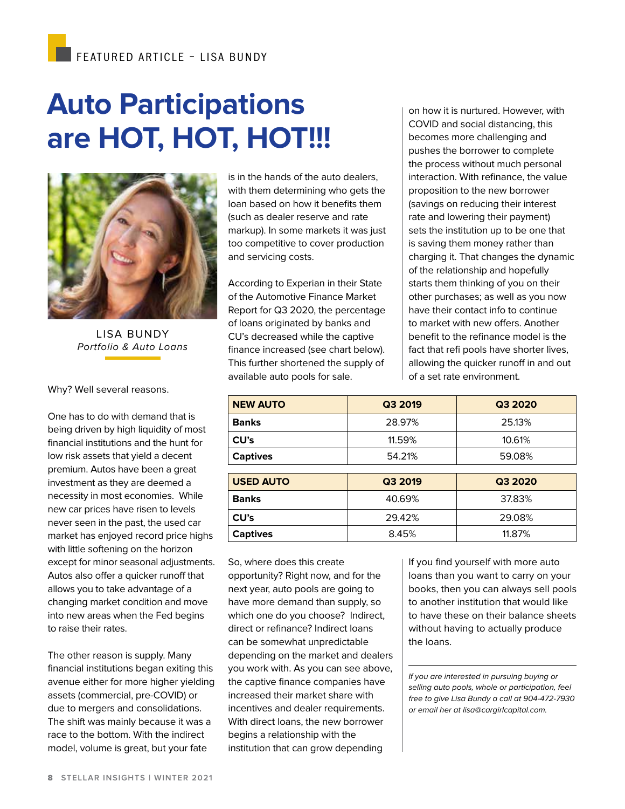## **Auto Participations are HOT, HOT, HOT!!!**



LISA BUNDY Portfolio & Auto Loans

Why? Well several reasons.

One has to do with demand that is being driven by high liquidity of most financial institutions and the hunt for low risk assets that yield a decent premium. Autos have been a great investment as they are deemed a necessity in most economies. While new car prices have risen to levels never seen in the past, the used car market has enjoyed record price highs with little softening on the horizon except for minor seasonal adjustments. Autos also offer a quicker runoff that allows you to take advantage of a changing market condition and move into new areas when the Fed begins to raise their rates.

The other reason is supply. Many financial institutions began exiting this avenue either for more higher yielding assets (commercial, pre-COVID) or due to mergers and consolidations. The shift was mainly because it was a race to the bottom. With the indirect model, volume is great, but your fate

is in the hands of the auto dealers, with them determining who gets the loan based on how it benefits them (such as dealer reserve and rate markup). In some markets it was just too competitive to cover production and servicing costs.

According to Experian in their State of the Automotive Finance Market Report for Q3 2020, the percentage of loans originated by banks and CU's decreased while the captive finance increased (see chart below). This further shortened the supply of available auto pools for sale.

| <b>NEW AUTO</b>  | Q3 2019 | Q3 2020 |
|------------------|---------|---------|
| <b>Banks</b>     | 28.97%  | 25.13%  |
| CU's             | 11.59%  | 10.61%  |
| <b>Captives</b>  | 54.21%  | 59.08%  |
|                  |         |         |
| <b>USED AUTO</b> | Q3 2019 | Q3 2020 |
| <b>Banks</b>     | 40.69%  | 37.83%  |
| CU's             | 29.42%  | 29.08%  |
| Captives         | 8.45%   | 11.87%  |

of a set rate environment.

So, where does this create opportunity? Right now, and for the next year, auto pools are going to have more demand than supply, so which one do you choose? Indirect, direct or refinance? Indirect loans can be somewhat unpredictable depending on the market and dealers you work with. As you can see above, the captive finance companies have increased their market share with incentives and dealer requirements. With direct loans, the new borrower begins a relationship with the institution that can grow depending

If you find yourself with more auto loans than you want to carry on your books, then you can always sell pools to another institution that would like to have these on their balance sheets without having to actually produce the loans.

on how it is nurtured. However, with COVID and social distancing, this becomes more challenging and pushes the borrower to complete the process without much personal interaction. With refinance, the value proposition to the new borrower (savings on reducing their interest rate and lowering their payment) sets the institution up to be one that is saving them money rather than charging it. That changes the dynamic of the relationship and hopefully starts them thinking of you on their other purchases; as well as you now have their contact info to continue to market with new offers. Another benefit to the refinance model is the fact that refi pools have shorter lives, allowing the quicker runoff in and out

If you are interested in pursuing buying or selling auto pools, whole or participation, feel free to give Lisa Bundy a call at 904-472-7930 or email her at lisa@cargirlcapital.com.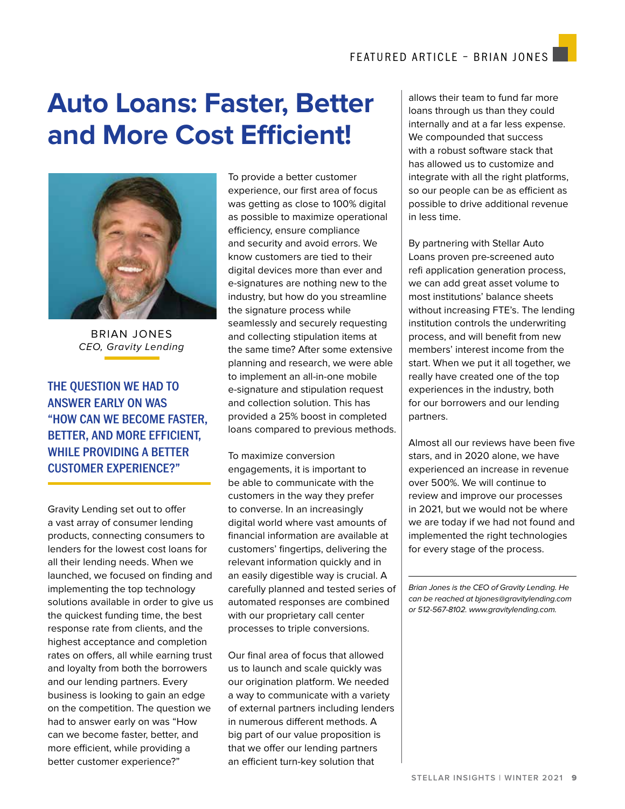## **Auto Loans: Faster, Better and More Cost Efficient!**



BRIAN JONES CEO, Gravity Lending

THE QUESTION WE HAD TO ANSWER EARLY ON WAS "HOW CAN WE BECOME FASTER, BETTER, AND MORE EFFICIENT, WHILE PROVIDING A BETTER CUSTOMER EXPERIENCE?"

Gravity Lending set out to offer a vast array of consumer lending products, connecting consumers to lenders for the lowest cost loans for all their lending needs. When we launched, we focused on finding and implementing the top technology solutions available in order to give us the quickest funding time, the best response rate from clients, and the highest acceptance and completion rates on offers, all while earning trust and loyalty from both the borrowers and our lending partners. Every business is looking to gain an edge on the competition. The question we had to answer early on was "How can we become faster, better, and more efficient, while providing a better customer experience?"

To provide a better customer experience, our first area of focus was getting as close to 100% digital as possible to maximize operational efficiency, ensure compliance and security and avoid errors. We know customers are tied to their digital devices more than ever and e-signatures are nothing new to the industry, but how do you streamline the signature process while seamlessly and securely requesting and collecting stipulation items at the same time? After some extensive planning and research, we were able to implement an all-in-one mobile e-signature and stipulation request and collection solution. This has provided a 25% boost in completed loans compared to previous methods.

To maximize conversion engagements, it is important to be able to communicate with the customers in the way they prefer to converse. In an increasingly digital world where vast amounts of financial information are available at customers' fingertips, delivering the relevant information quickly and in an easily digestible way is crucial. A carefully planned and tested series of automated responses are combined with our proprietary call center processes to triple conversions.

Our final area of focus that allowed us to launch and scale quickly was our origination platform. We needed a way to communicate with a variety of external partners including lenders in numerous different methods. A big part of our value proposition is that we offer our lending partners an efficient turn-key solution that

allows their team to fund far more loans through us than they could internally and at a far less expense. We compounded that success with a robust software stack that has allowed us to customize and integrate with all the right platforms, so our people can be as efficient as possible to drive additional revenue in less time.

By partnering with Stellar Auto Loans proven pre-screened auto refi application generation process, we can add great asset volume to most institutions' balance sheets without increasing FTE's. The lending institution controls the underwriting process, and will benefit from new members' interest income from the start. When we put it all together, we really have created one of the top experiences in the industry, both for our borrowers and our lending partners.

Almost all our reviews have been five stars, and in 2020 alone, we have experienced an increase in revenue over 500%. We will continue to review and improve our processes in 2021, but we would not be where we are today if we had not found and implemented the right technologies for every stage of the process.

Brian Jones is the CEO of Gravity Lending. He can be reached at bjones@gravitylending.com or 512-567-8102. www.gravitylending.com.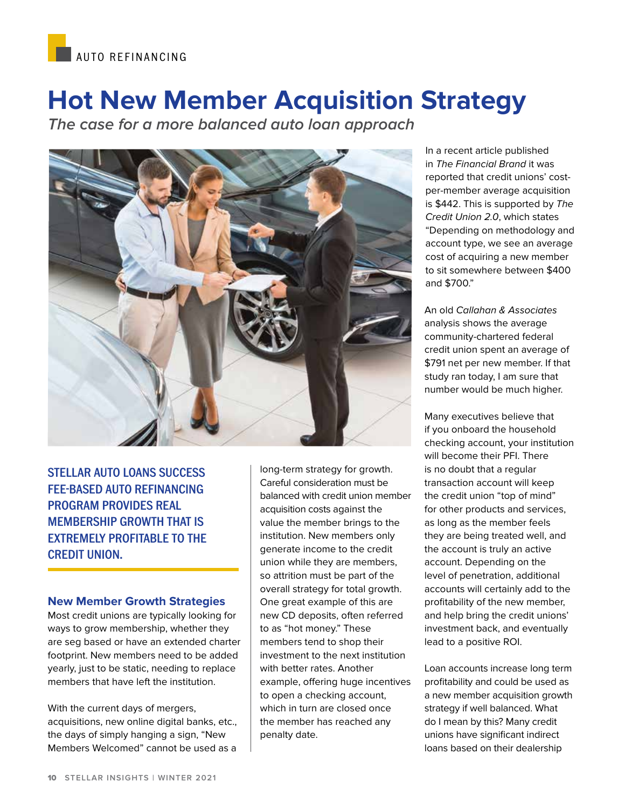#### **AUTO REFINANCING**

## **Hot New Member Acquisition Strategy**

**The case for a more balanced auto loan approach**



STELLAR AUTO LOANS SUCCESS FEE-BASED AUTO REFINANCING PROGRAM PROVIDES REAL MEMBERSHIP GROWTH THAT IS EXTREMELY PROFITABLE TO THE CREDIT UNION.

#### **New Member Growth Strategies**

Most credit unions are typically looking for ways to grow membership, whether they are seg based or have an extended charter footprint. New members need to be added yearly, just to be static, needing to replace members that have left the institution.

With the current days of mergers, acquisitions, new online digital banks, etc., the days of simply hanging a sign, "New Members Welcomed" cannot be used as a

long-term strategy for growth. Careful consideration must be balanced with credit union member acquisition costs against the value the member brings to the institution. New members only generate income to the credit union while they are members, so attrition must be part of the overall strategy for total growth. One great example of this are new CD deposits, often referred to as "hot money." These members tend to shop their investment to the next institution with better rates. Another example, offering huge incentives to open a checking account, which in turn are closed once the member has reached any penalty date.

In a recent article published in The Financial Brand it was reported that credit unions' costper-member average acquisition is \$442. This is supported by The Credit Union 2.0, which states "Depending on methodology and account type, we see an average cost of acquiring a new member to sit somewhere between \$400 and \$700."

An old Callahan & Associates analysis shows the average community-chartered federal credit union spent an average of \$791 net per new member. If that study ran today, I am sure that number would be much higher.

Many executives believe that if you onboard the household checking account, your institution will become their PFI. There is no doubt that a regular transaction account will keep the credit union "top of mind" for other products and services, as long as the member feels they are being treated well, and the account is truly an active account. Depending on the level of penetration, additional accounts will certainly add to the profitability of the new member, and help bring the credit unions' investment back, and eventually lead to a positive ROI.

Loan accounts increase long term profitability and could be used as a new member acquisition growth strategy if well balanced. What do I mean by this? Many credit unions have significant indirect loans based on their dealership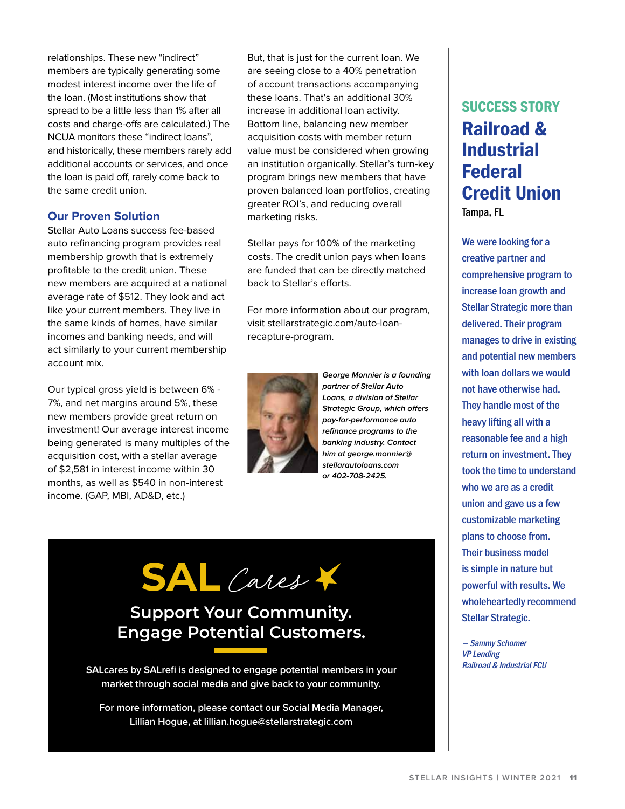relationships. These new "indirect" members are typically generating some modest interest income over the life of the loan. (Most institutions show that spread to be a little less than 1% after all costs and charge-offs are calculated.) The NCUA monitors these "indirect loans", and historically, these members rarely add additional accounts or services, and once the loan is paid off, rarely come back to the same credit union.

#### **Our Proven Solution**

Stellar Auto Loans success fee-based auto refinancing program provides real membership growth that is extremely profitable to the credit union. These new members are acquired at a national average rate of \$512. They look and act like your current members. They live in the same kinds of homes, have similar incomes and banking needs, and will act similarly to your current membership account mix.

Our typical gross yield is between 6% - 7%, and net margins around 5%, these new members provide great return on investment! Our average interest income being generated is many multiples of the acquisition cost, with a stellar average of \$2,581 in interest income within 30 months, as well as \$540 in non-interest income. (GAP, MBI, AD&D, etc.)

But, that is just for the current loan. We are seeing close to a 40% penetration of account transactions accompanying these loans. That's an additional 30% increase in additional loan activity. Bottom line, balancing new member acquisition costs with member return value must be considered when growing an institution organically. Stellar's turn-key program brings new members that have proven balanced loan portfolios, creating greater ROI's, and reducing overall marketing risks.

Stellar pays for 100% of the marketing costs. The credit union pays when loans are funded that can be directly matched back to Stellar's efforts.

For more information about our program, visit stellarstrategic.com/auto-loanrecapture-program.



**George Monnier is a founding partner of Stellar Auto Loans, a division of Stellar Strategic Group, which offers pay-for-performance auto refinance programs to the banking industry. Contact him at george.monnier@ stellarautoloans.com or 402-708-2425.**

**SAL** Cares

**Support Your Community. Engage Potential Customers.**

**SALcares by SALrefi is designed to engage potential members in your market through social media and give back to your community.**

**For more information, please contact our Social Media Manager, Lillian Hogue, at lillian.hogue@stellarstrategic.com**

#### **SUCCESS STORY Railroad & Industrial Federal Credit Union** Tampa, FL

We were looking for a creative partner and comprehensive program to increase loan growth and Stellar Strategic more than delivered. Their program manages to drive in existing and potential new members with loan dollars we would not have otherwise had. They handle most of the heavy lifting all with a reasonable fee and a high return on investment. They took the time to understand who we are as a credit union and gave us a few customizable marketing plans to choose from. Their business model is simple in nature but powerful with results. We wholeheartedly recommend Stellar Strategic.

— Sammy Schomer VP Lending Railroad & Industrial FCU